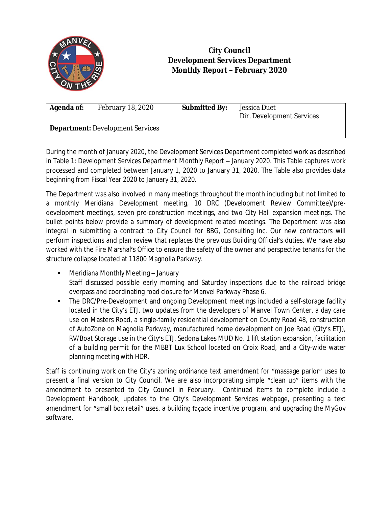

## **City Council Development Services Department Monthly Report – February 2020**

**Agenda of:** February 18, 2020 **Submitted By:** Jessica Duet

Dir. Development Services

**Department:** Development Services

During the month of January 2020, the Development Services Department completed work as described in Table 1: *Development Services Department Monthly Report – January 2020*. This Table captures work processed and completed between January 1, 2020 to January 31, 2020. The Table also provides data beginning from Fiscal Year 2020 to January 31, 2020.

The Department was also involved in many meetings throughout the month including but not limited to a monthly Meridiana Development meeting, 10 DRC (Development Review Committee)/predevelopment meetings, seven pre-construction meetings, and two City Hall expansion meetings. The bullet points below provide a summary of development related meetings. The Department was also integral in submitting a contract to City Council for BBG, Consulting Inc. Our new contractors will perform inspections and plan review that replaces the previous Building Official's duties. We have also worked with the Fire Marshal's Office to ensure the safety of the owner and perspective tenants for the structure collapse located at 11800 Magnolia Parkway.

- Meridiana Monthly Meeting January Staff discussed possible early morning and Saturday inspections due to the railroad bridge overpass and coordinating road closure for Manvel Parkway Phase 6.
- The DRC/Pre-Development and ongoing Development meetings included a self-storage facility located in the City's ETJ, two updates from the developers of Manvel Town Center, a day care use on Masters Road, a single-family residential development on County Road 48, construction of AutoZone on Magnolia Parkway, manufactured home development on Joe Road (City's ETJ), RV/Boat Storage use in the City's ETJ, Sedona Lakes MUD No. 1 lift station expansion, facilitation of a building permit for the MBBT Lux School located on Croix Road, and a City-wide water planning meeting with HDR.

Staff is continuing work on the City's zoning ordinance text amendment for "massage parlor" uses to present a final version to City Council. We are also incorporating simple "clean up" items with the amendment to presented to City Council in February. Continued items to complete include a Development Handbook, updates to the City's Development Services webpage, presenting a text amendment for "small box retail" uses, a building façade incentive program, and upgrading the MyGov software.